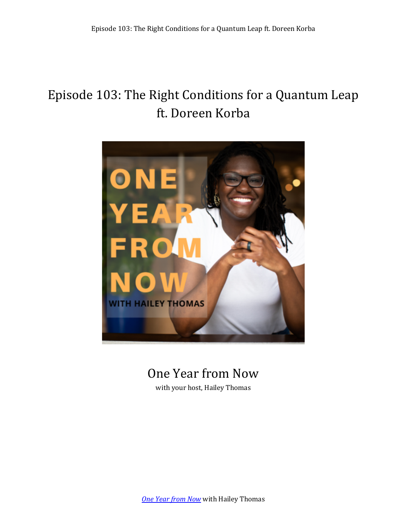# Episode 103: The Right Conditions for a Quantum Leap ft. Doreen Korba



# One Year from Now

with your host, Hailey Thomas

**One Year from Now** with Hailey Thomas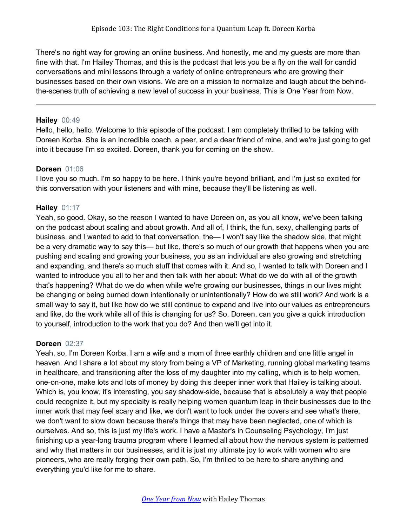There's no right way for growing an online business. And honestly, me and my guests are more than fine with that. I'm Hailey Thomas, and this is the podcast that lets you be a fly on the wall for candid conversations and mini lessons through a variety of online entrepreneurs who are growing their businesses based on their own visions. We are on a mission to normalize and laugh about the behindthe-scenes truth of achieving a new level of success in your business. This is One Year from Now.

#### **Hailey** 00:49

Hello, hello, hello. Welcome to this episode of the podcast. I am completely thrilled to be talking with Doreen Korba. She is an incredible coach, a peer, and a dear friend of mine, and we're just going to get into it because I'm so excited. Doreen, thank you for coming on the show.

#### **Doreen** 01:06

I love you so much. I'm so happy to be here. I think you're beyond brilliant, and I'm just so excited for this conversation with your listeners and with mine, because they'll be listening as well.

# **Hailey** 01:17

Yeah, so good. Okay, so the reason I wanted to have Doreen on, as you all know, we've been talking on the podcast about scaling and about growth. And all of, I think, the fun, sexy, challenging parts of business, and I wanted to add to that conversation, the— I won't say like the shadow side, that might be a very dramatic way to say this— but like, there's so much of our growth that happens when you are pushing and scaling and growing your business, you as an individual are also growing and stretching and expanding, and there's so much stuff that comes with it. And so, I wanted to talk with Doreen and I wanted to introduce you all to her and then talk with her about: What do we do with all of the growth that's happening? What do we do when while we're growing our businesses, things in our lives might be changing or being burned down intentionally or unintentionally? How do we still work? And work is a small way to say it, but like how do we still continue to expand and live into our values as entrepreneurs and like, do the work while all of this is changing for us? So, Doreen, can you give a quick introduction to yourself, introduction to the work that you do? And then we'll get into it.

# **Doreen** 02:37

Yeah, so, I'm Doreen Korba. I am a wife and a mom of three earthly children and one little angel in heaven. And I share a lot about my story from being a VP of Marketing, running global marketing teams in healthcare, and transitioning after the loss of my daughter into my calling, which is to help women, one-on-one, make lots and lots of money by doing this deeper inner work that Hailey is talking about. Which is, you know, it's interesting, you say shadow-side, because that is absolutely a way that people could recognize it, but my specialty is really helping women quantum leap in their businesses due to the inner work that may feel scary and like, we don't want to look under the covers and see what's there, we don't want to slow down because there's things that may have been neglected, one of which is ourselves. And so, this is just my life's work. I have a Master's in Counseling Psychology, I'm just finishing up a year-long trauma program where I learned all about how the nervous system is patterned and why that matters in our businesses, and it is just my ultimate joy to work with women who are pioneers, who are really forging their own path. So, I'm thrilled to be here to share anything and everything you'd like for me to share.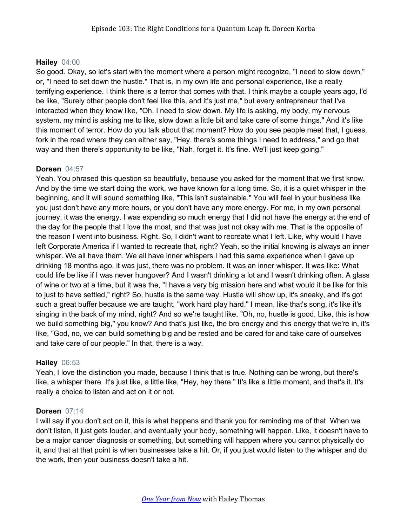# **Hailey** 04:00

So good. Okay, so let's start with the moment where a person might recognize, "I need to slow down," or, "I need to set down the hustle." That is, in my own life and personal experience, like a really terrifying experience. I think there is a terror that comes with that. I think maybe a couple years ago, I'd be like, "Surely other people don't feel like this, and it's just me," but every entrepreneur that I've interacted when they know like, "Oh, I need to slow down. My life is asking, my body, my nervous system, my mind is asking me to like, slow down a little bit and take care of some things." And it's like this moment of terror. How do you talk about that moment? How do you see people meet that, I guess, fork in the road where they can either say, "Hey, there's some things I need to address," and go that way and then there's opportunity to be like, "Nah, forget it. It's fine. We'll just keep going."

# **Doreen** 04:57

Yeah. You phrased this question so beautifully, because you asked for the moment that we first know. And by the time we start doing the work, we have known for a long time. So, it is a quiet whisper in the beginning, and it will sound something like, "This isn't sustainable." You will feel in your business like you just don't have any more hours, or you don't have any more energy. For me, in my own personal journey, it was the energy. I was expending so much energy that I did not have the energy at the end of the day for the people that I love the most, and that was just not okay with me. That is the opposite of the reason I went into business. Right. So, I didn't want to recreate what I left. Like, why would I have left Corporate America if I wanted to recreate that, right? Yeah, so the initial knowing is always an inner whisper. We all have them. We all have inner whispers I had this same experience when I gave up drinking 18 months ago, it was just, there was no problem. It was an inner whisper. It was like: What could life be like if I was never hungover? And I wasn't drinking a lot and I wasn't drinking often. A glass of wine or two at a time, but it was the, "I have a very big mission here and what would it be like for this to just to have settled," right? So, hustle is the same way. Hustle will show up, it's sneaky, and it's got such a great buffer because we are taught, "work hard play hard." I mean, like that's song, it's like it's singing in the back of my mind, right? And so we're taught like, "Oh, no, hustle is good. Like, this is how we build something big," you know? And that's just like, the bro energy and this energy that we're in, it's like, "God, no, we can build something big and be rested and be cared for and take care of ourselves and take care of our people." In that, there is a way.

# **Hailey** 06:53

Yeah, I love the distinction you made, because I think that is true. Nothing can be wrong, but there's like, a whisper there. It's just like, a little like, "Hey, hey there." It's like a little moment, and that's it. It's really a choice to listen and act on it or not.

# **Doreen** 07:14

I will say if you don't act on it, this is what happens and thank you for reminding me of that. When we don't listen, it just gets louder, and eventually your body, something will happen. Like, it doesn't have to be a major cancer diagnosis or something, but something will happen where you cannot physically do it, and that at that point is when businesses take a hit. Or, if you just would listen to the whisper and do the work, then your business doesn't take a hit.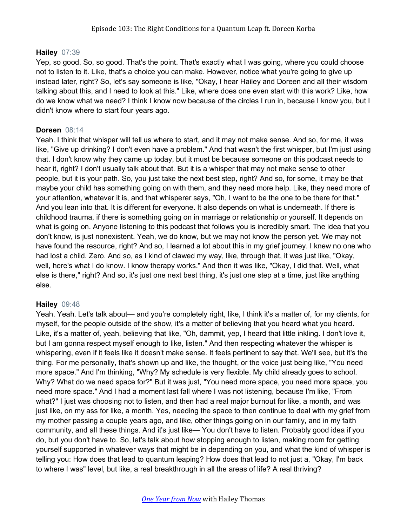### **Hailey** 07:39

Yep, so good. So, so good. That's the point. That's exactly what I was going, where you could choose not to listen to it. Like, that's a choice you can make. However, notice what you're going to give up instead later, right? So, let's say someone is like, "Okay, I hear Hailey and Doreen and all their wisdom talking about this, and I need to look at this." Like, where does one even start with this work? Like, how do we know what we need? I think I know now because of the circles I run in, because I know you, but I didn't know where to start four years ago.

#### **Doreen** 08:14

Yeah. I think that whisper will tell us where to start, and it may not make sense. And so, for me, it was like, "Give up drinking? I don't even have a problem." And that wasn't the first whisper, but I'm just using that. I don't know why they came up today, but it must be because someone on this podcast needs to hear it, right? I don't usually talk about that. But it is a whisper that may not make sense to other people, but it is your path. So, you just take the next best step, right? And so, for some, it may be that maybe your child has something going on with them, and they need more help. Like, they need more of your attention, whatever it is, and that whisperer says, "Oh, I want to be the one to be there for that." And you lean into that. It is different for everyone. It also depends on what is underneath. If there is childhood trauma, if there is something going on in marriage or relationship or yourself. It depends on what is going on. Anyone listening to this podcast that follows you is incredibly smart. The idea that you don't know, is just nonexistent. Yeah, we do know, but we may not know the person yet. We may not have found the resource, right? And so, I learned a lot about this in my grief journey. I knew no one who had lost a child. Zero. And so, as I kind of clawed my way, like, through that, it was just like, "Okay, well, here's what I do know. I know therapy works." And then it was like, "Okay, I did that. Well, what else is there," right? And so, it's just one next best thing, it's just one step at a time, just like anything else.

# **Hailey** 09:48

Yeah. Yeah. Let's talk about— and you're completely right, like, I think it's a matter of, for my clients, for myself, for the people outside of the show, it's a matter of believing that you heard what you heard. Like, it's a matter of, yeah, believing that like, "Oh, dammit, yep, I heard that little inkling. I don't love it, but I am gonna respect myself enough to like, listen." And then respecting whatever the whisper is whispering, even if it feels like it doesn't make sense. It feels pertinent to say that. We'll see, but it's the thing. For me personally, that's shown up and like, the thought, or the voice just being like, "You need more space." And I'm thinking, "Why? My schedule is very flexible. My child already goes to school. Why? What do we need space for?" But it was just, "You need more space, you need more space, you need more space." And I had a moment last fall where I was not listening, because I'm like, "From what?" I just was choosing not to listen, and then had a real major burnout for like, a month, and was just like, on my ass for like, a month. Yes, needing the space to then continue to deal with my grief from my mother passing a couple years ago, and like, other things going on in our family, and in my faith community, and all these things. And it's just like— You don't have to listen. Probably good idea if you do, but you don't have to. So, let's talk about how stopping enough to listen, making room for getting yourself supported in whatever ways that might be in depending on you, and what the kind of whisper is telling you: How does that lead to quantum leaping? How does that lead to not just a, "Okay, I'm back to where I was" level, but like, a real breakthrough in all the areas of life? A real thriving?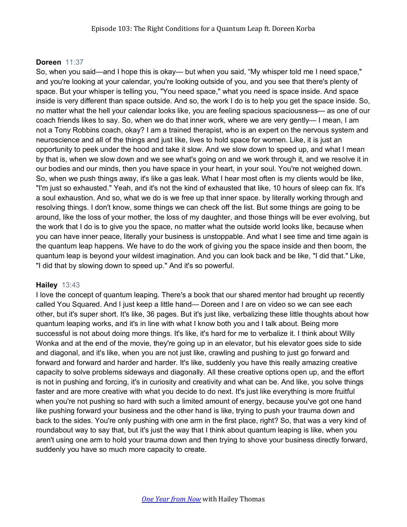# **Doreen** 11:37

So, when you said—and I hope this is okay— but when you said, "My whisper told me I need space," and you're looking at your calendar, you're looking outside of you, and you see that there's plenty of space. But your whisper is telling you, "You need space," what you need is space inside. And space inside is very different than space outside. And so, the work I do is to help you get the space inside. So, no matter what the hell your calendar looks like, you are feeling spacious spaciousness— as one of our coach friends likes to say. So, when we do that inner work, where we are very gently— I mean, I am not a Tony Robbins coach, okay? I am a trained therapist, who is an expert on the nervous system and neuroscience and all of the things and just like, lives to hold space for women. Like, it is just an opportunity to peek under the hood and take it slow. And we slow down to speed up, and what I mean by that is, when we slow down and we see what's going on and we work through it, and we resolve it in our bodies and our minds, then you have space in your heart, in your soul. You're not weighed down. So, when we push things away, it's like a gas leak. What I hear most often is my clients would be like, "I'm just so exhausted." Yeah, and it's not the kind of exhausted that like, 10 hours of sleep can fix. It's a soul exhaustion. And so, what we do is we free up that inner space. by literally working through and resolving things. I don't know, some things we can check off the list. But some things are going to be around, like the loss of your mother, the loss of my daughter, and those things will be ever evolving, but the work that I do is to give you the space, no matter what the outside world looks like, because when you can have inner peace, literally your business is unstoppable. And what I see time and time again is the quantum leap happens. We have to do the work of giving you the space inside and then boom, the quantum leap is beyond your wildest imagination. And you can look back and be like, "I did that." Like, "I did that by slowing down to speed up." And it's so powerful.

# **Hailey** 13:43

I love the concept of quantum leaping. There's a book that our shared mentor had brought up recently called You Squared. And I just keep a little hand— Doreen and I are on video so we can see each other, but it's super short. It's like, 36 pages. But it's just like, verbalizing these little thoughts about how quantum leaping works, and it's in line with what I know both you and I talk about. Being more successful is not about doing more things. It's like, it's hard for me to verbalize it. I think about Willy Wonka and at the end of the movie, they're going up in an elevator, but his elevator goes side to side and diagonal, and it's like, when you are not just like, crawling and pushing to just go forward and forward and forward and harder and harder. It's like, suddenly you have this really amazing creative capacity to solve problems sideways and diagonally. All these creative options open up, and the effort is not in pushing and forcing, it's in curiosity and creativity and what can be. And like, you solve things faster and are more creative with what you decide to do next. It's just like everything is more fruitful when you're not pushing so hard with such a limited amount of energy, because you've got one hand like pushing forward your business and the other hand is like, trying to push your trauma down and back to the sides. You're only pushing with one arm in the first place, right? So, that was a very kind of roundabout way to say that, but it's just the way that I think about quantum leaping is like, when you aren't using one arm to hold your trauma down and then trying to shove your business directly forward, suddenly you have so much more capacity to create.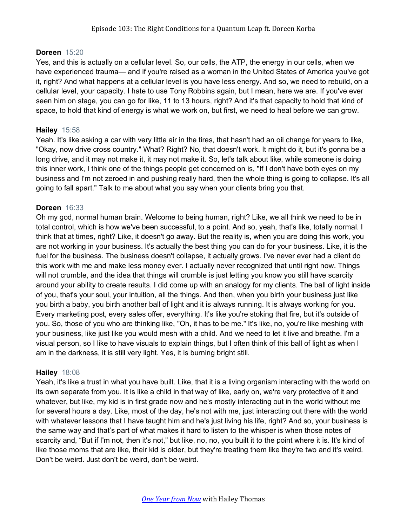# **Doreen** 15:20

Yes, and this is actually on a cellular level. So, our cells, the ATP, the energy in our cells, when we have experienced trauma— and if you're raised as a woman in the United States of America you've got it, right? And what happens at a cellular level is you have less energy. And so, we need to rebuild, on a cellular level, your capacity. I hate to use Tony Robbins again, but I mean, here we are. If you've ever seen him on stage, you can go for like, 11 to 13 hours, right? And it's that capacity to hold that kind of space, to hold that kind of energy is what we work on, but first, we need to heal before we can grow.

# **Hailey** 15:58

Yeah. It's like asking a car with very little air in the tires, that hasn't had an oil change for years to like, "Okay, now drive cross country." What? Right? No, that doesn't work. It might do it, but it's gonna be a long drive, and it may not make it, it may not make it. So, let's talk about like, while someone is doing this inner work, I think one of the things people get concerned on is, "If I don't have both eyes on my business and I'm not zeroed in and pushing really hard, then the whole thing is going to collapse. It's all going to fall apart." Talk to me about what you say when your clients bring you that.

# **Doreen** 16:33

Oh my god, normal human brain. Welcome to being human, right? Like, we all think we need to be in total control, which is how we've been successful, to a point. And so, yeah, that's like, totally normal. I think that at times, right? Like, it doesn't go away. But the reality is, when you are doing this work, you are not working in your business. It's actually the best thing you can do for your business. Like, it is the fuel for the business. The business doesn't collapse, it actually grows. I've never ever had a client do this work with me and make less money ever. I actually never recognized that until right now. Things will not crumble, and the idea that things will crumble is just letting you know you still have scarcity around your ability to create results. I did come up with an analogy for my clients. The ball of light inside of you, that's your soul, your intuition, all the things. And then, when you birth your business just like you birth a baby, you birth another ball of light and it is always running. It is always working for you. Every marketing post, every sales offer, everything. It's like you're stoking that fire, but it's outside of you. So, those of you who are thinking like, "Oh, it has to be me." It's like, no, you're like meshing with your business, like just like you would mesh with a child. And we need to let it live and breathe. I'm a visual person, so I like to have visuals to explain things, but I often think of this ball of light as when I am in the darkness, it is still very light. Yes, it is burning bright still.

# **Hailey** 18:08

Yeah, it's like a trust in what you have built. Like, that it is a living organism interacting with the world on its own separate from you. It is like a child in that way of like, early on, we're very protective of it and whatever, but like, my kid is in first grade now and he's mostly interacting out in the world without me for several hours a day. Like, most of the day, he's not with me, just interacting out there with the world with whatever lessons that I have taught him and he's just living his life, right? And so, your business is the same way and that's part of what makes it hard to listen to the whisper is when those notes of scarcity and, "But if I'm not, then it's not," but like, no, no, you built it to the point where it is. It's kind of like those moms that are like, their kid is older, but they're treating them like they're two and it's weird. Don't be weird. Just don't be weird, don't be weird.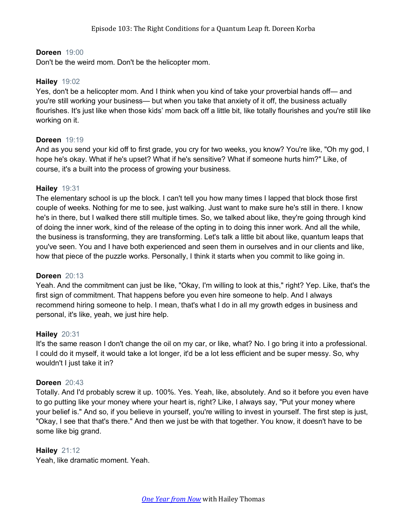## **Doreen** 19:00

Don't be the weird mom. Don't be the helicopter mom.

#### **Hailey** 19:02

Yes, don't be a helicopter mom. And I think when you kind of take your proverbial hands off— and you're still working your business— but when you take that anxiety of it off, the business actually flourishes. It's just like when those kids' mom back off a little bit, like totally flourishes and you're still like working on it.

# **Doreen** 19:19

And as you send your kid off to first grade, you cry for two weeks, you know? You're like, "Oh my god, I hope he's okay. What if he's upset? What if he's sensitive? What if someone hurts him?" Like, of course, it's a built into the process of growing your business.

#### **Hailey** 19:31

The elementary school is up the block. I can't tell you how many times I lapped that block those first couple of weeks. Nothing for me to see, just walking. Just want to make sure he's still in there. I know he's in there, but I walked there still multiple times. So, we talked about like, they're going through kind of doing the inner work, kind of the release of the opting in to doing this inner work. And all the while, the business is transforming, they are transforming. Let's talk a little bit about like, quantum leaps that you've seen. You and I have both experienced and seen them in ourselves and in our clients and like, how that piece of the puzzle works. Personally, I think it starts when you commit to like going in.

#### **Doreen** 20:13

Yeah. And the commitment can just be like, "Okay, I'm willing to look at this," right? Yep. Like, that's the first sign of commitment. That happens before you even hire someone to help. And I always recommend hiring someone to help. I mean, that's what I do in all my growth edges in business and personal, it's like, yeah, we just hire help.

# **Hailey** 20:31

It's the same reason I don't change the oil on my car, or like, what? No. I go bring it into a professional. I could do it myself, it would take a lot longer, it'd be a lot less efficient and be super messy. So, why wouldn't I just take it in?

#### **Doreen** 20:43

Totally. And I'd probably screw it up. 100%. Yes. Yeah, like, absolutely. And so it before you even have to go putting like your money where your heart is, right? Like, I always say, "Put your money where your belief is." And so, if you believe in yourself, you're willing to invest in yourself. The first step is just, "Okay, I see that that's there." And then we just be with that together. You know, it doesn't have to be some like big grand.

# **Hailey** 21:12

Yeah, like dramatic moment. Yeah.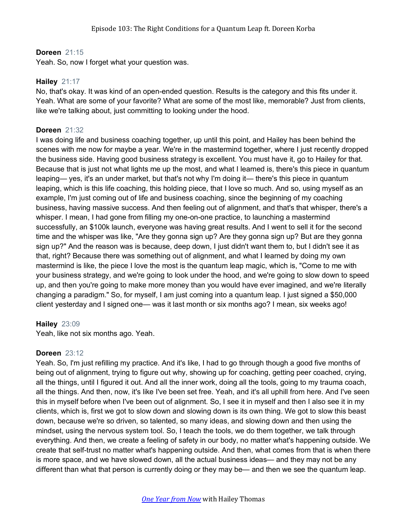### **Doreen** 21:15

Yeah. So, now I forget what your question was.

#### **Hailey** 21:17

No, that's okay. It was kind of an open-ended question. Results is the category and this fits under it. Yeah. What are some of your favorite? What are some of the most like, memorable? Just from clients, like we're talking about, just committing to looking under the hood.

### **Doreen** 21:32

I was doing life and business coaching together, up until this point, and Hailey has been behind the scenes with me now for maybe a year. We're in the mastermind together, where I just recently dropped the business side. Having good business strategy is excellent. You must have it, go to Hailey for that. Because that is just not what lights me up the most, and what I learned is, there's this piece in quantum leaping— yes, it's an under market, but that's not why I'm doing it— there's this piece in quantum leaping, which is this life coaching, this holding piece, that I love so much. And so, using myself as an example, I'm just coming out of life and business coaching, since the beginning of my coaching business, having massive success. And then feeling out of alignment, and that's that whisper, there's a whisper. I mean, I had gone from filling my one-on-one practice, to launching a mastermind successfully, an \$100k launch, everyone was having great results. And I went to sell it for the second time and the whisper was like, "Are they gonna sign up? Are they gonna sign up? But are they gonna sign up?" And the reason was is because, deep down, I just didn't want them to, but I didn't see it as that, right? Because there was something out of alignment, and what I learned by doing my own mastermind is like, the piece I love the most is the quantum leap magic, which is, "Come to me with your business strategy, and we're going to look under the hood, and we're going to slow down to speed up, and then you're going to make more money than you would have ever imagined, and we're literally changing a paradigm." So, for myself, I am just coming into a quantum leap. I just signed a \$50,000 client yesterday and I signed one— was it last month or six months ago? I mean, six weeks ago!

# **Hailey** 23:09

Yeah, like not six months ago. Yeah.

#### **Doreen** 23:12

Yeah. So, I'm just refilling my practice. And it's like, I had to go through though a good five months of being out of alignment, trying to figure out why, showing up for coaching, getting peer coached, crying, all the things, until I figured it out. And all the inner work, doing all the tools, going to my trauma coach, all the things. And then, now, it's like I've been set free. Yeah, and it's all uphill from here. And I've seen this in myself before when I've been out of alignment. So, I see it in myself and then I also see it in my clients, which is, first we got to slow down and slowing down is its own thing. We got to slow this beast down, because we're so driven, so talented, so many ideas, and slowing down and then using the mindset, using the nervous system tool. So, I teach the tools, we do them together, we talk through everything. And then, we create a feeling of safety in our body, no matter what's happening outside. We create that self-trust no matter what's happening outside. And then, what comes from that is when there is more space, and we have slowed down, all the actual business ideas— and they may not be any different than what that person is currently doing or they may be— and then we see the quantum leap.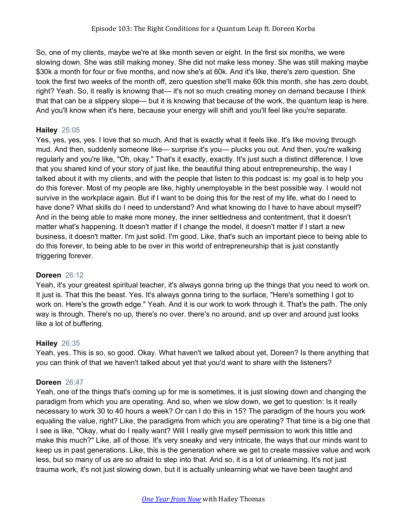So, one of my clients, maybe we're at like month seven or eight. In the first six months, we were slowing down. She was still making money. She did not make less money. She was still making maybe \$30k a month for four or five months, and now she's at 60k. And it's like, there's zero question. She took the first two weeks of the month off, zero question she'll make 60k this month, she has zero doubt, right? Yeah. So, it really is knowing that— it's not so much creating money on demand because I think that that can be a slippery slope— but it is knowing that because of the work, the quantum leap is here. And you'll know when it's here, because your energy will shift and you'll feel like you're separate.

# **Hailey** 25:05

Yes, yes, yes, yes. I love that so much. And that is exactly what it feels like. It's like moving through mud. And then, suddenly someone like— surprise it's you— plucks you out. And then, you're walking regularly and you're like, "Oh, okay." That's it exactly, exactly. It's just such a distinct difference. I love that you shared kind of your story of just like, the beautiful thing about entrepreneurship, the way I talked about it with my clients, and with the people that listen to this podcast is: my goal is to help you do this forever. Most of my people are like, highly unemployable in the best possible way. I would not survive in the workplace again. But if I want to be doing this for the rest of my life, what do I need to have done? What skills do I need to understand? And what knowing do I have to have about myself? And in the being able to make more money, the inner settledness and contentment, that it doesn't matter what's happening. It doesn't matter if I change the model, it doesn't matter if I start a new business, it doesn't matter. I'm just solid. I'm good. Like, that's such an important piece to being able to do this forever, to being able to be over in this world of entrepreneurship that is just constantly triggering forever.

# **Doreen** 26:12

Yeah, it's your greatest spiritual teacher, it's always gonna bring up the things that you need to work on. It just is. That this the beast. Yes. It's always gonna bring to the surface, "Here's something I got to work on. Here's the growth edge." Yeah. And it is our work to work through it. That's the path. The only way is through. There's no up, there's no over. there's no around, and up over and around just looks like a lot of buffering.

# **Hailey** 26:35

Yeah, yes. This is so, so good. Okay. What haven't we talked about yet, Doreen? Is there anything that you can think of that we haven't talked about yet that you'd want to share with the listeners?

# **Doreen** 26:47

Yeah, one of the things that's coming up for me is sometimes, it is just slowing down and changing the paradigm from which you are operating. And so, when we slow down, we get to question: Is it really necessary to work 30 to 40 hours a week? Or can I do this in 15? The paradigm of the hours you work equaling the value, right? Like, the paradigms from which you are operating? That time is a big one that I see is like, "Okay, what do I really want? Will I really give myself permission to work this little and make this much?" Like, all of those. It's very sneaky and very intricate, the ways that our minds want to keep us in past generations. Like, this is the generation where we get to create massive value and work less, but so many of us are so afraid to step into that. And so, it is a lot of unlearning. It's not just trauma work, it's not just slowing down, but it is actually unlearning what we have been taught and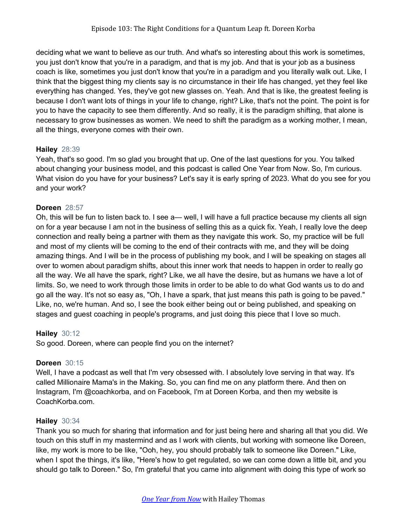deciding what we want to believe as our truth. And what's so interesting about this work is sometimes, you just don't know that you're in a paradigm, and that is my job. And that is your job as a business coach is like, sometimes you just don't know that you're in a paradigm and you literally walk out. Like, I think that the biggest thing my clients say is no circumstance in their life has changed, yet they feel like everything has changed. Yes, they've got new glasses on. Yeah. And that is like, the greatest feeling is because I don't want lots of things in your life to change, right? Like, that's not the point. The point is for you to have the capacity to see them differently. And so really, it is the paradigm shifting, that alone is necessary to grow businesses as women. We need to shift the paradigm as a working mother, I mean, all the things, everyone comes with their own.

# **Hailey** 28:39

Yeah, that's so good. I'm so glad you brought that up. One of the last questions for you. You talked about changing your business model, and this podcast is called One Year from Now. So, I'm curious. What vision do you have for your business? Let's say it is early spring of 2023. What do you see for you and your work?

# **Doreen** 28:57

Oh, this will be fun to listen back to. I see a— well, I will have a full practice because my clients all sign on for a year because I am not in the business of selling this as a quick fix. Yeah, I really love the deep connection and really being a partner with them as they navigate this work. So, my practice will be full and most of my clients will be coming to the end of their contracts with me, and they will be doing amazing things. And I will be in the process of publishing my book, and I will be speaking on stages all over to women about paradigm shifts, about this inner work that needs to happen in order to really go all the way. We all have the spark, right? Like, we all have the desire, but as humans we have a lot of limits. So, we need to work through those limits in order to be able to do what God wants us to do and go all the way. It's not so easy as, "Oh, I have a spark, that just means this path is going to be paved." Like, no, we're human. And so, I see the book either being out or being published, and speaking on stages and guest coaching in people's programs, and just doing this piece that I love so much.

# **Hailey** 30:12

So good. Doreen, where can people find you on the internet?

# **Doreen** 30:15

Well, I have a podcast as well that I'm very obsessed with. I absolutely love serving in that way. It's called Millionaire Mama's in the Making. So, you can find me on any platform there. And then on Instagram, I'm @coachkorba, and on Facebook, I'm at Doreen Korba, and then my website is CoachKorba.com.

# **Hailey** 30:34

Thank you so much for sharing that information and for just being here and sharing all that you did. We touch on this stuff in my mastermind and as I work with clients, but working with someone like Doreen, like, my work is more to be like, "Ooh, hey, you should probably talk to someone like Doreen." Like, when I spot the things, it's like, "Here's how to get regulated, so we can come down a little bit, and you should go talk to Doreen." So, I'm grateful that you came into alignment with doing this type of work so